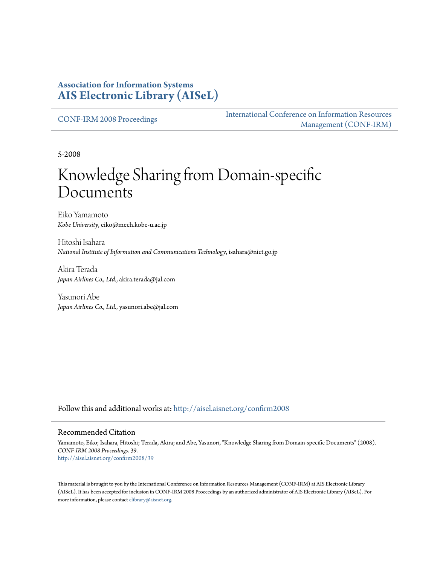### **Association for Information Systems [AIS Electronic Library \(AISeL\)](http://aisel.aisnet.org?utm_source=aisel.aisnet.org%2Fconfirm2008%2F39&utm_medium=PDF&utm_campaign=PDFCoverPages)**

[CONF-IRM 2008 Proceedings](http://aisel.aisnet.org/confirm2008?utm_source=aisel.aisnet.org%2Fconfirm2008%2F39&utm_medium=PDF&utm_campaign=PDFCoverPages)

[International Conference on Information Resources](http://aisel.aisnet.org/conf-irm?utm_source=aisel.aisnet.org%2Fconfirm2008%2F39&utm_medium=PDF&utm_campaign=PDFCoverPages) [Management \(CONF-IRM\)](http://aisel.aisnet.org/conf-irm?utm_source=aisel.aisnet.org%2Fconfirm2008%2F39&utm_medium=PDF&utm_campaign=PDFCoverPages)

5-2008

# Knowledge Sharing from Domain-specific Documents

Eiko Yamamoto *Kobe University*, eiko@mech.kobe-u.ac.jp

Hitoshi Isahara *National Institute of Information and Communications Technology*, isahara@nict.go.jp

Akira Terada *Japan Airlines Co., Ltd.*, akira.terada@jal.com

Yasunori Abe *Japan Airlines Co., Ltd.*, yasunori.abe@jal.com

Follow this and additional works at: [http://aisel.aisnet.org/confirm2008](http://aisel.aisnet.org/confirm2008?utm_source=aisel.aisnet.org%2Fconfirm2008%2F39&utm_medium=PDF&utm_campaign=PDFCoverPages)

#### Recommended Citation

Yamamoto, Eiko; Isahara, Hitoshi; Terada, Akira; and Abe, Yasunori, "Knowledge Sharing from Domain-specific Documents" (2008). *CONF-IRM 2008 Proceedings*. 39. [http://aisel.aisnet.org/confirm2008/39](http://aisel.aisnet.org/confirm2008/39?utm_source=aisel.aisnet.org%2Fconfirm2008%2F39&utm_medium=PDF&utm_campaign=PDFCoverPages)

This material is brought to you by the International Conference on Information Resources Management (CONF-IRM) at AIS Electronic Library (AISeL). It has been accepted for inclusion in CONF-IRM 2008 Proceedings by an authorized administrator of AIS Electronic Library (AISeL). For more information, please contact [elibrary@aisnet.org.](mailto:elibrary@aisnet.org%3E)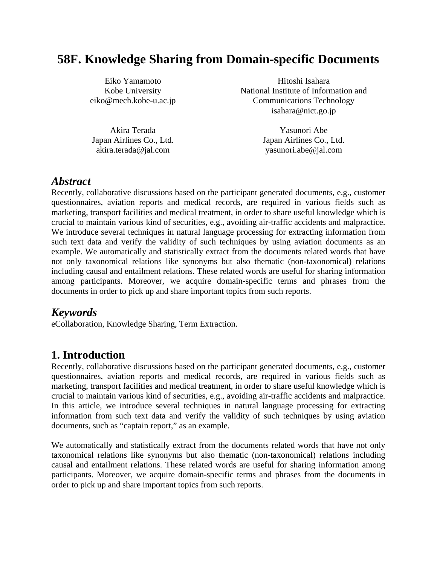# **58F. Knowledge Sharing from Domain-specific Documents**

Eiko Yamamoto Kobe University eiko@mech.kobe-u.ac.jp

Hitoshi Isahara National Institute of Information and Communications Technology isahara@nict.go.jp

Akira Terada Japan Airlines Co., Ltd. akira.terada@jal.com

Yasunori Abe Japan Airlines Co., Ltd. yasunori.abe@jal.com

### *Abstract*

Recently, collaborative discussions based on the participant generated documents, e.g., customer questionnaires, aviation reports and medical records, are required in various fields such as marketing, transport facilities and medical treatment, in order to share useful knowledge which is crucial to maintain various kind of securities, e.g., avoiding air-traffic accidents and malpractice. We introduce several techniques in natural language processing for extracting information from such text data and verify the validity of such techniques by using aviation documents as an example. We automatically and statistically extract from the documents related words that have not only taxonomical relations like synonyms but also thematic (non-taxonomical) relations including causal and entailment relations. These related words are useful for sharing information among participants. Moreover, we acquire domain-specific terms and phrases from the documents in order to pick up and share important topics from such reports.

## *Keywords*

eCollaboration, Knowledge Sharing, Term Extraction.

### **1. Introduction**

Recently, collaborative discussions based on the participant generated documents, e.g., customer questionnaires, aviation reports and medical records, are required in various fields such as marketing, transport facilities and medical treatment, in order to share useful knowledge which is crucial to maintain various kind of securities, e.g., avoiding air-traffic accidents and malpractice. In this article, we introduce several techniques in natural language processing for extracting information from such text data and verify the validity of such techniques by using aviation documents, such as "captain report," as an example.

We automatically and statistically extract from the documents related words that have not only taxonomical relations like synonyms but also thematic (non-taxonomical) relations including causal and entailment relations. These related words are useful for sharing information among participants. Moreover, we acquire domain-specific terms and phrases from the documents in order to pick up and share important topics from such reports.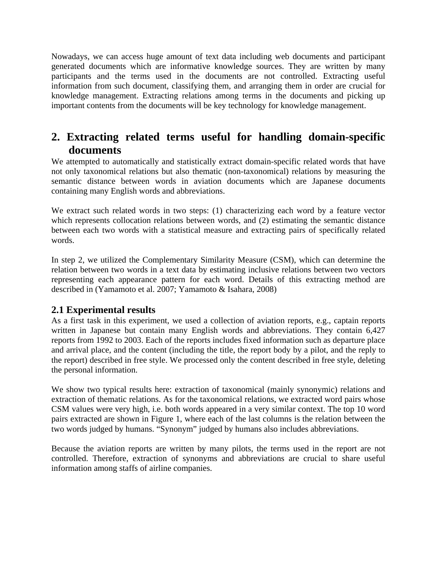Nowadays, we can access huge amount of text data including web documents and participant generated documents which are informative knowledge sources. They are written by many participants and the terms used in the documents are not controlled. Extracting useful information from such document, classifying them, and arranging them in order are crucial for knowledge management. Extracting relations among terms in the documents and picking up important contents from the documents will be key technology for knowledge management.

# **2. Extracting related terms useful for handling domain-specific documents**

We attempted to automatically and statistically extract domain-specific related words that have not only taxonomical relations but also thematic (non-taxonomical) relations by measuring the semantic distance between words in aviation documents which are Japanese documents containing many English words and abbreviations.

We extract such related words in two steps: (1) characterizing each word by a feature vector which represents collocation relations between words, and (2) estimating the semantic distance between each two words with a statistical measure and extracting pairs of specifically related words.

In step 2, we utilized the Complementary Similarity Measure (CSM), which can determine the relation between two words in a text data by estimating inclusive relations between two vectors representing each appearance pattern for each word. Details of this extracting method are described in (Yamamoto et al. 2007; Yamamoto & Isahara, 2008)

### **2.1 Experimental results**

As a first task in this experiment, we used a collection of aviation reports, e.g., captain reports written in Japanese but contain many English words and abbreviations. They contain 6,427 reports from 1992 to 2003. Each of the reports includes fixed information such as departure place and arrival place, and the content (including the title, the report body by a pilot, and the reply to the report) described in free style. We processed only the content described in free style, deleting the personal information.

We show two typical results here: extraction of taxonomical (mainly synonymic) relations and extraction of thematic relations. As for the taxonomical relations, we extracted word pairs whose CSM values were very high, i.e. both words appeared in a very similar context. The top 10 word pairs extracted are shown in Figure 1, where each of the last columns is the relation between the two words judged by humans. "Synonym" judged by humans also includes abbreviations.

Because the aviation reports are written by many pilots, the terms used in the report are not controlled. Therefore, extraction of synonyms and abbreviations are crucial to share useful information among staffs of airline companies.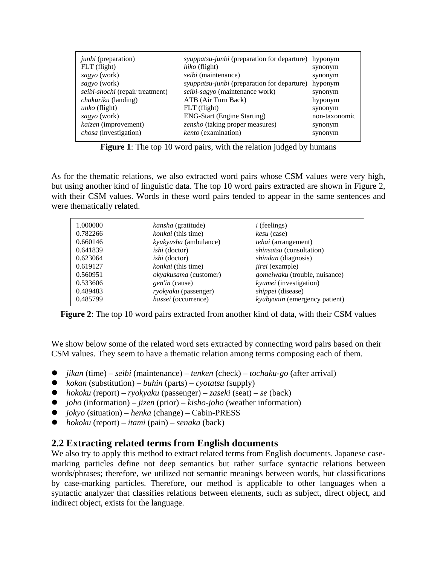| <i>junbi</i> (preparation)<br>FLT (flight)<br>sagyo (work)<br>sagyo (work)<br>seibi-shochi (repair treatment)<br><i>chakuriku</i> (landing)<br>$unko$ (flight)<br>sagyo (work) | <i>syuppatsu-junbi</i> (preparation for departure) hyponym<br>hiko (flight)<br>seibi (maintenance)<br>syuppatsu-junbi (preparation for departure)<br>seibi-sagyo (maintenance work)<br>ATB (Air Turn Back)<br>FLT (flight)<br><b>ENG-Start (Engine Starting)</b> | synonym<br>synonym<br>hyponym<br>synonym<br>hyponym<br>synonym<br>non-taxonomic |
|--------------------------------------------------------------------------------------------------------------------------------------------------------------------------------|------------------------------------------------------------------------------------------------------------------------------------------------------------------------------------------------------------------------------------------------------------------|---------------------------------------------------------------------------------|
| kaizen (improvement)                                                                                                                                                           | zensho (taking proper measures)                                                                                                                                                                                                                                  | synonym                                                                         |
| <i>chosa</i> (investigation)                                                                                                                                                   | kento (examination)                                                                                                                                                                                                                                              | synonym                                                                         |

**Figure 1**: The top 10 word pairs, with the relation judged by humans

As for the thematic relations, we also extracted word pairs whose CSM values were very high, but using another kind of linguistic data. The top 10 word pairs extracted are shown in Figure 2, with their CSM values. Words in these word pairs tended to appear in the same sentences and were thematically related.

| 1.000000 | <i>kansha</i> (gratitude) | $i$ (feelings)                  |
|----------|---------------------------|---------------------------------|
| 0.782266 | konkai (this time)        | kesu (case)                     |
| 0.660146 | kyukyusha (ambulance)     | tehai (arrangement)             |
| 0.641839 | <i>ishi</i> (doctor)      | <i>shinsatsu</i> (consultation) |
| 0.623064 | <i>ishi</i> (doctor)      | <i>shindan</i> (diagnosis)      |
| 0.619127 | konkai (this time)        | <i>jirei</i> (example)          |
| 0.560951 | okyakusama (customer)     | gomeiwaku (trouble, nuisance)   |
| 0.533606 | gen'in (cause)            | kyumei (investigation)          |
| 0.489483 | ryokyaku (passenger)      | shippei (disease)               |
| 0.485799 | hassei (occurrence)       | kyubyonin (emergency patient)   |

|  |  |  |  | Figure 2: The top 10 word pairs extracted from another kind of data, with their CSM values |
|--|--|--|--|--------------------------------------------------------------------------------------------|
|--|--|--|--|--------------------------------------------------------------------------------------------|

We show below some of the related word sets extracted by connecting word pairs based on their CSM values. They seem to have a thematic relation among terms composing each of them.

- z *jikan* (time) – *seibi* (maintenance) *tenken* (check) *tochaku-go* (after arrival)
- z *kokan* (substitution) *buhin* (parts) – *cyotatsu* (supply)
- z *hokoku* (report) *ryokyaku* (passenger) – *zaseki* (seat) *se* (back)
- z *joho* (information) – *jizen* (prior) *kisho-joho* (weather information)
- z *jokyo* (situation) *henka* (change) Cabin-PRESS
- z *hokoku* (report) – *itami* (pain) *senaka* (back)

### **2.2 Extracting related terms from English documents**

We also try to apply this method to extract related terms from English documents. Japanese casemarking particles define not deep semantics but rather surface syntactic relations between words/phrases; therefore, we utilized not semantic meanings between words, but classifications by case-marking particles. Therefore, our method is applicable to other languages when a syntactic analyzer that classifies relations between elements, such as subject, direct object, and indirect object, exists for the language.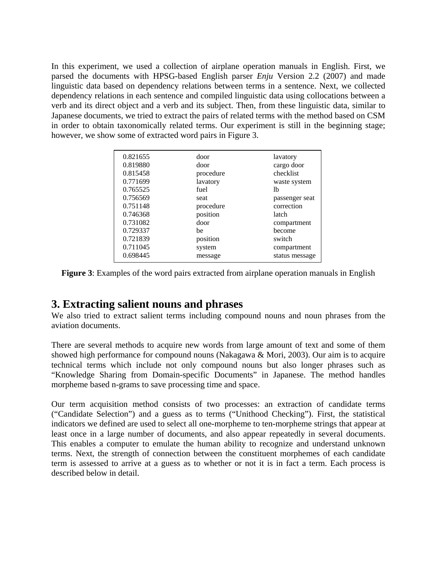In this experiment, we used a collection of airplane operation manuals in English. First, we parsed the documents with HPSG-based English parser *Enju* Version 2.2 (2007) and made linguistic data based on dependency relations between terms in a sentence. Next, we collected dependency relations in each sentence and compiled linguistic data using collocations between a verb and its direct object and a verb and its subject. Then, from these linguistic data, similar to Japanese documents, we tried to extract the pairs of related terms with the method based on CSM in order to obtain taxonomically related terms. Our experiment is still in the beginning stage; however, we show some of extracted word pairs in Figure 3.

| 0.821655 | door      | lavatory       |
|----------|-----------|----------------|
| 0.819880 | door      | cargo door     |
| 0.815458 | procedure | checklist      |
| 0.771699 | lavatory  | waste system   |
| 0.765525 | fuel      | lb             |
| 0.756569 | seat      | passenger seat |
| 0.751148 | procedure | correction     |
| 0.746368 | position  | latch          |
| 0.731082 | door      | compartment    |
| 0.729337 | he        | hecome         |
| 0.721839 | position  | switch         |
| 0.711045 | system    | compartment    |
| 0.698445 | message   | status message |
|          |           |                |

**Figure 3**: Examples of the word pairs extracted from airplane operation manuals in English

### **3. Extracting salient nouns and phrases**

We also tried to extract salient terms including compound nouns and noun phrases from the aviation documents.

There are several methods to acquire new words from large amount of text and some of them showed high performance for compound nouns (Nakagawa & Mori, 2003). Our aim is to acquire technical terms which include not only compound nouns but also longer phrases such as "Knowledge Sharing from Domain-specific Documents" in Japanese. The method handles morpheme based n-grams to save processing time and space.

Our term acquisition method consists of two processes: an extraction of candidate terms ("Candidate Selection") and a guess as to terms ("Unithood Checking"). First, the statistical indicators we defined are used to select all one-morpheme to ten-morpheme strings that appear at least once in a large number of documents, and also appear repeatedly in several documents. This enables a computer to emulate the human ability to recognize and understand unknown terms. Next, the strength of connection between the constituent morphemes of each candidate term is assessed to arrive at a guess as to whether or not it is in fact a term. Each process is described below in detail.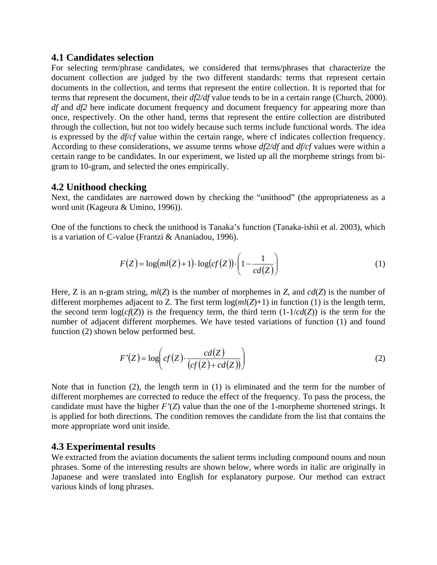#### **4.1 Candidates selection**

For selecting term/phrase candidates, we considered that terms/phrases that characterize the document collection are judged by the two different standards: terms that represent certain documents in the collection, and terms that represent the entire collection. It is reported that for terms that represent the document, their *df2/df* value tends to be in a certain range (Church, 2000). *df* and *df2* here indicate document frequency and document frequency for appearing more than once, respectively. On the other hand, terms that represent the entire collection are distributed through the collection, but not too widely because such terms include functional words. The idea is expressed by the *df/cf* value within the certain range, where cf indicates collection frequency. According to these considerations, we assume terms whose *df2/df* and *df/cf* values were within a certain range to be candidates. In our experiment, we listed up all the morpheme strings from bigram to 10-gram, and selected the ones empirically.

### **4.2 Unithood checking**

Next, the candidates are narrowed down by checking the "unithood" (the appropriateness as a word unit (Kageura & Umino, 1996)).

One of the functions to check the unithood is Tanaka's function (Tanaka-ishii et al. 2003), which is a variation of C-value (Frantzi & Ananiadou, 1996).

$$
F(Z) = \log(ml(Z) + 1) \cdot \log(cf(Z)) \cdot \left(1 - \frac{1}{cd(Z)}\right)
$$
 (1)

Here, Z is an n-gram string, *ml*(*Z*) is the number of morphemes in *Z*, and *cd*(*Z*) is the number of different morphemes adjacent to Z. The first term log(*ml*(*Z*)+1) in function (1) is the length term, the second term  $log(c f(Z))$  is the frequency term, the third term  $(1-1/cd(Z))$  is the term for the number of adjacent different morphemes. We have tested variations of function (1) and found function (2) shown below performed best.

$$
F'(Z) = \log\left(cf(Z) \cdot \frac{cd(Z)}{(cf(Z) + cd(Z))}\right)
$$
 (2)

Note that in function (2), the length term in (1) is eliminated and the term for the number of different morphemes are corrected to reduce the effect of the frequency. To pass the process, the candidate must have the higher *F'*(*Z*) value than the one of the 1-morpheme shortened strings. It is applied for both directions. The condition removes the candidate from the list that contains the more appropriate word unit inside.

### **4.3 Experimental results**

We extracted from the aviation documents the salient terms including compound nouns and noun phrases. Some of the interesting results are shown below, where words in italic are originally in Japanese and were translated into English for explanatory purpose. Our method can extract various kinds of long phrases.